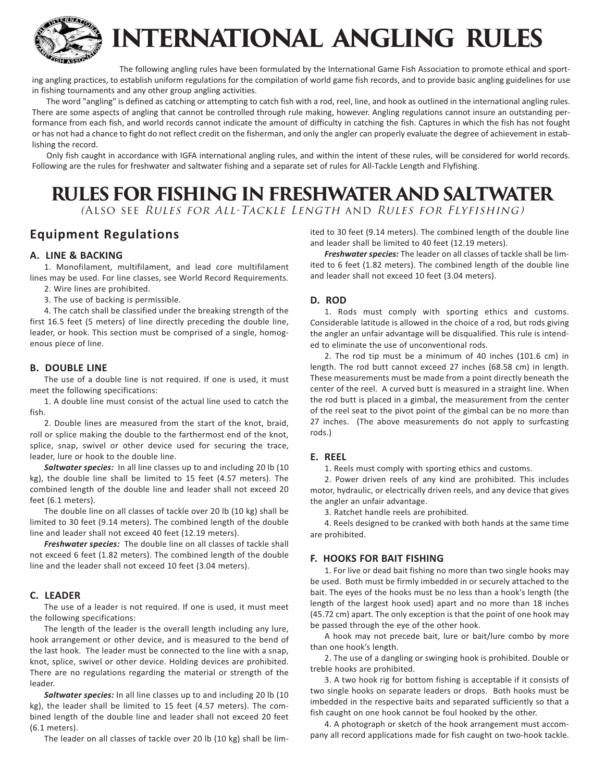

# **INTERNATIONAL ANGLING RULES**

The following angling rules have been formulated by the International Game Fish Association to promote ethical and sporting angling practices, to establish uniform regulations for the compilation of world game fish records, and to provide basic angling guidelines for use in fishing tournaments and any other group angling activities.

The word "angling" is defined as catching or attempting to catch fish with a rod, reel, line, and hook as outlined in the international angling rules. There are some aspects of angling that cannot be controlled through rule making, however. Angling regulations cannot insure an outstanding performance from each fish, and world records cannot indicate the amount of difficulty in catching the fish. Captures in which the fish has not fought or has not had a chance to fight do not reflect credit on the fisherman, and only the angler can properly evaluate the degree of achievement in establishing the record.

Only fish caught in accordance with IGFA international angling rules, and within the intent of these rules, will be considered for world records. Following are the rules for freshwater and saltwater fishing and a separate set of rules for All-Tackle Length and Flyfishing.

# **RULES FOR FISHING IN FRESHWATER AND SALTWATER**

(Also see Rules for All-Tackle Length and Rules for Flyfishing)

### **Equipment Regulations**

#### **A. LINE & BACKING**

1. Monofilament, multifilament, and lead core multifilament lines may be used. For line classes, see World Record Requirements. 2. Wire lines are prohibited.

3. The use of backing is permissible.

4. The catch shall be classified under the breaking strength of the first 16.5 feet (5 meters) of line directly preceding the double line, leader, or hook. This section must be comprised of a single, homogenous piece of line.

#### **B. DOUBLE LINE**

The use of a double line is not required. If one is used, it must meet the following specifications:

1. A double line must consist of the actual line used to catch the fish.

2. Double lines are measured from the start of the knot, braid, roll or splice making the double to the farthermost end of the knot, splice, snap, swivel or other device used for securing the trace, leader, lure or hook to the double line.

*Saltwater species:* In all line classes up to and including 20 lb (10 kg), the double line shall be limited to 15 feet (4.57 meters). The combined length of the double line and leader shall not exceed 20 feet (6.1 meters).

The double line on all classes of tackle over 20 lb (10 kg) shall be limited to 30 feet (9.14 meters). The combined length of the double line and leader shall not exceed 40 feet (12.19 meters).

*Freshwater species:* The double line on all classes of tackle shall not exceed 6 feet (1.82 meters). The combined length of the double line and the leader shall not exceed 10 feet (3.04 meters).

#### **C. LEADER**

The use of a leader is not required. If one is used, it must meet the following specifications:

The length of the leader is the overall length including any lure, hook arrangement or other device, and is measured to the bend of the last hook. The leader must be connected to the line with a snap, knot, splice, swivel or other device. Holding devices are prohibited. There are no regulations regarding the material or strength of the leader.

*Saltwater species:* In all line classes up to and including 20 lb (10 kg), the leader shall be limited to 15 feet (4.57 meters). The combined length of the double line and leader shall not exceed 20 feet (6.1 meters).

The leader on all classes of tackle over 20 lb (10 kg) shall be lim-

ited to 30 feet (9.14 meters). The combined length of the double line and leader shall be limited to 40 feet (12.19 meters).

*Freshwater species:* The leader on all classes of tackle shall be limited to 6 feet (1.82 meters). The combined length of the double line and leader shall not exceed 10 feet (3.04 meters).

#### **D. ROD**

1. Rods must comply with sporting ethics and customs. Considerable latitude is allowed in the choice of a rod, but rods giving the angler an unfair advantage will be disqualified. This rule is intended to eliminate the use of unconventional rods.

2. The rod tip must be a minimum of 40 inches (101.6 cm) in length. The rod butt cannot exceed 27 inches (68.58 cm) in length. These measurements must be made from a point directly beneath the center of the reel. A curved butt is measured in a straight line. When the rod butt is placed in a gimbal, the measurement from the center of the reel seat to the pivot point of the gimbal can be no more than 27 inches. (The above measurements do not apply to surfcasting rods.)

#### **E. REEL**

1. Reels must comply with sporting ethics and customs.

2. Power driven reels of any kind are prohibited. This includes motor, hydraulic, or electrically driven reels, and any device that gives the angler an unfair advantage.

3. Ratchet handle reels are prohibited.

4. Reels designed to be cranked with both hands at the same time are prohibited.

#### **F. HOOKS FOR BAIT FISHING**

1. For live or dead bait fishing no more than two single hooks may be used. Both must be firmly imbedded in or securely attached to the bait. The eyes of the hooks must be no less than a hook's length (the length of the largest hook used) apart and no more than 18 inches (45.72 cm) apart. The only exception is that the point of one hook may be passed through the eye of the other hook.

A hook may not precede bait, lure or bait/lure combo by more than one hook's length.

2. The use of a dangling or swinging hook is prohibited. Double or treble hooks are prohibited.

3. A two hook rig for bottom fishing is acceptable if it consists of two single hooks on separate leaders or drops. Both hooks must be imbedded in the respective baits and separated sufficiently so that a fish caught on one hook cannot be foul hooked by the other.

4. A photograph or sketch of the hook arrangement must accompany all record applications made for fish caught on two-hook tackle.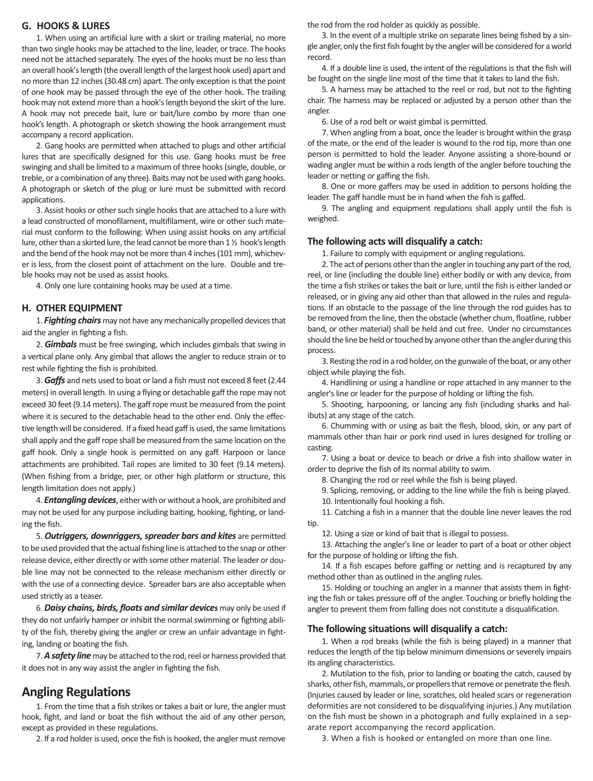#### **G. HOOKS & LURES**

1. When using an artificial lure with a skirt or trailing material, no more than two single hooks may be attached to the line, leader, or trace. The hooks need not be attached separately. The eyes of the hooks must be no less than an overall hook's length (the overall length of the largest hook used) apart and no more than 12 inches (30.48 cm) apart. The only exception is that the point of one hook may be passed through the eye of the other hook. The trailing hook may not extend more than a hook's length beyond the skirt of the lure. A hook may not precede bait, lure or bait/lure combo by more than one hook's length. A photograph or sketch showing the hook arrangement must accompany a record application.

2. Gang hooks are permitted when attached to plugs and other artificial lures that are specifically designed for this use. Gang hooks must be free swinging and shall be limited to a maximum of three hooks (single, double, or treble, or a combination of any three). Baits may not be used with gang hooks. A photograph or sketch of the plug or lure must be submitted with record applications.

3. Assist hooks or other such single hooks that are attached to a lure with a lead constructed of monofilament, multifilament, wire or other such material must conform to the following: When using assist hooks on any artificial lure, other than a skirted lure, the lead cannot be more than 1 ½ hook's length and the bend of the hook may not be more than 4 inches (101 mm), whichever is less, from the closest point of attachment on the lure. Double and treble hooks may not be used as assist hooks.

4. Only one lure containing hooks may be used at a time.

#### **H. OTHER EQUIPMENT**

1. Fighting chairs may not have any mechanically propelled devices that aid the angler in fighting a fish.

2. *Gimbals* must be free swinging, which includes gimbals that swing in a vertical plane only. Any gimbal that allows the angler to reduce strain or to rest while fighting the fish is prohibited.

3. *Gaffs* and nets used to boat or land a fish must not exceed 8 feet (2.44 meters) in overall length. In using a flying or detachable gaff the rope may not exceed 30 feet (9.14 meters). The gaff rope must be measured from the point where it is secured to the detachable head to the other end. Only the effective length will be considered. If a fixed head gaff is used, the same limitations shall apply and the gaff rope shall be measured from the same location on the gaff hook. Only a single hook is permitted on any gaff. Harpoon or lance attachments are prohibited. Tail ropes are limited to 30 feet (9.14 meters). (When fishing from a bridge, pier, or other high platform or structure, this length limitation does not apply.)

4. *Entangling devices*, either with or without a hook, are prohibited and may not be used for any purpose including baiting, hooking, fighting, or landing the fish.

5. *Outriggers, downriggers, spreader bars and kites* are permitted to be used provided that the actual fishing line is attached to the snap or other release device, either directly or with some other material. The leader or double line may not be connected to the release mechanism either directly or with the use of a connecting device. Spreader bars are also acceptable when used strictly as a teaser.

6. *Daisy chains, birds, floats and similar devices* may only be used if they do not unfairly hamper or inhibit the normal swimming or fighting ability of the fish, thereby giving the angler or crew an unfair advantage in fighting, landing or boating the fish.

7. A safety line may be attached to the rod, reel or harness provided that it does not in any way assist the angler in fighting the fish.

### **Angling Regulations**

1. From the time that a fish strikes or takes a bait or lure, the angler must hook, fight, and land or boat the fish without the aid of any other person, except as provided in these regulations.

2. If a rod holder is used, once the fish is hooked, the angler must remove

the rod from the rod holder as quickly as possible.

3. In the event of a multiple strike on separate lines being fished by a single angler, only the first fish fought by the angler will be considered for a world record.

4. If a double line is used, the intent of the regulations is that the fish will be fought on the single line most of the time that it takes to land the fish.

5. A harness may be attached to the reel or rod, but not to the fighting chair. The harness may be replaced or adjusted by a person other than the angler.

6. Use of a rod belt or waist gimbal is permitted.

7. When angling from a boat, once the leader is brought within the grasp of the mate, or the end of the leader is wound to the rod tip, more than one person is permitted to hold the leader. Anyone assisting a shore-bound or wading angler must be within a rods length of the angler before touching the leader or netting or gaffing the fish.

8. One or more gaffers may be used in addition to persons holding the leader. The gaff handle must be in hand when the fish is gaffed.

9. The angling and equipment regulations shall apply until the fish is weighed.

#### **The following acts will disqualify a catch:**

1. Failure to comply with equipment or angling regulations.

2. The act of persons other than the angler in touching any part of the rod, reel, or line (including the double line) either bodily or with any device, from the time a fish strikes or takes the bait or lure, until the fish is either landed or released, or in giving any aid other than that allowed in the rules and regulations. If an obstacle to the passage of the line through the rod guides has to be removed from the line, then the obstacle (whether chum, floatline, rubber band, or other material) shall be held and cut free. Under no circumstances should the line be held or touched by anyone other than the angler during this process.

3. Resting the rod in a rod holder, on the gunwale of the boat, or any other object while playing the fish.

4. Handlining or using a handline or rope attached in any manner to the angler's line or leader for the purpose of holding or lifting the fish.

5. Shooting, harpooning, or lancing any fish (including sharks and halibuts) at any stage of the catch.

6. Chumming with or using as bait the flesh, blood, skin, or any part of mammals other than hair or pork rind used in lures designed for trolling or casting.

7. Using a boat or device to beach or drive a fish into shallow water in order to deprive the fish of its normal ability to swim.

8. Changing the rod or reel while the fish is being played.

9. Splicing, removing, or adding to the line while the fish is being played. 10. Intentionally foul hooking a fish.

11. Catching a fish in a manner that the double line never leaves the rod tip.

12. Using a size or kind of bait that is illegal to possess.

13. Attaching the angler's line or leader to part of a boat or other object for the purpose of holding or lifting the fish.

14. If a fish escapes before gaffing or netting and is recaptured by any method other than as outlined in the angling rules.

15. Holding or touching an angler in a manner that assists them in fighting the fish or takes pressure off of the angler. Touching or briefly holding the angler to prevent them from falling does not constitute a disqualification.

#### **The following situations will disqualify a catch:**

1. When a rod breaks (while the fish is being played) in a manner that reduces the length of the tip below minimum dimensions or severely impairs its angling characteristics.

2. Mutilation to the fish, prior to landing or boating the catch, caused by sharks, other fish, mammals, or propellers that remove or penetrate the flesh. (Injuries caused by leader or line, scratches, old healed scars or regeneration deformities are not considered to be disqualifying injuries.) Any mutilation on the fish must be shown in a photograph and fully explained in a separate report accompanying the record application.

3. When a fish is hooked or entangled on more than one line.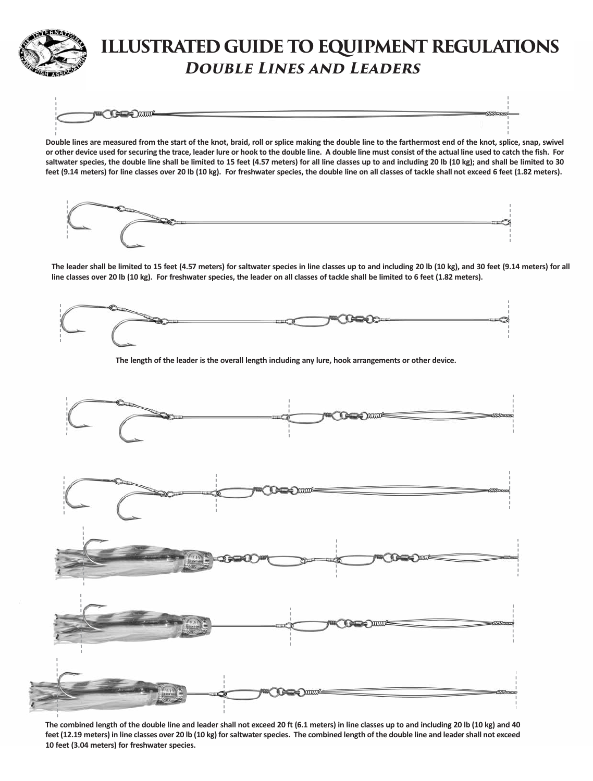

# **ILLUSTRATED GUIDE TO EQUIPMENT REGULATIONS Double Lines and Leaders**

**George Communication** 

**Double lines are measured from the start of the knot, braid, roll or splice making the double line to the farthermost end of the knot, splice, snap, swivel or other device used for securing the trace, leader lure or hook to the double line. A double line must consist of the actual line used to catch the fish. For saltwater species, the double line shall be limited to 15 feet (4.57 meters) for all line classes up to and including 20 lb (10 kg); and shall be limited to 30 feet (9.14 meters) for line classes over 20 lb (10 kg). For freshwater species, the double line on all classes of tackle shall not exceed 6 feet (1.82 meters).**



**The leader shall be limited to 15 feet (4.57 meters) for saltwater species in line classes up to and including 20 lb (10 kg), and 30 feet (9.14 meters) for all line classes over 20 lb (10 kg). For freshwater species, the leader on all classes of tackle shall be limited to 6 feet (1.82 meters).**



**The length of the leader is the overall length including any lure, hook arrangements or other device.**



**The combined length of the double line and leader shall not exceed 20 ft (6.1 meters) in line classes up to and including 20 lb (10 kg) and 40 feet (12.19 meters) in line classes over 20 lb (10 kg) for saltwater species. The combined length of the double line and leader shall not exceed 10 feet (3.04 meters) for freshwater species.**